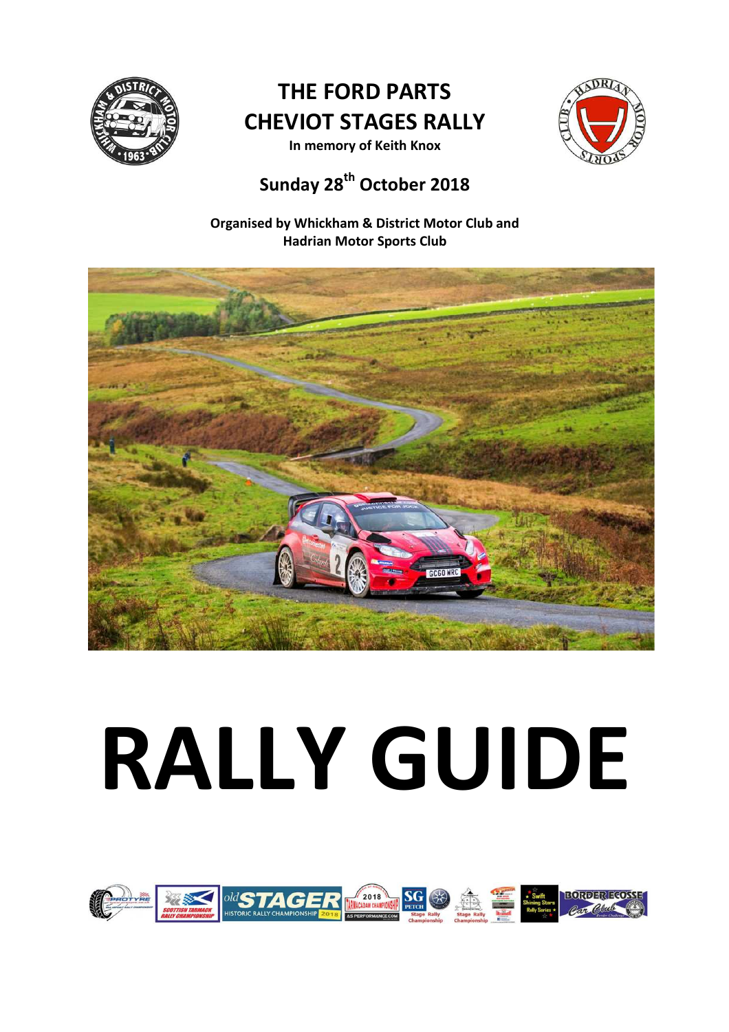

# **THE FORD PARTS CHEVIOT STAGES RALLY**



**In memory of Keith Knox** 

# **Sunday 28th October 2018**

**Organised by Whickham & District Motor Club and Hadrian Motor Sports Club** 



# **RALLY GUIDE**

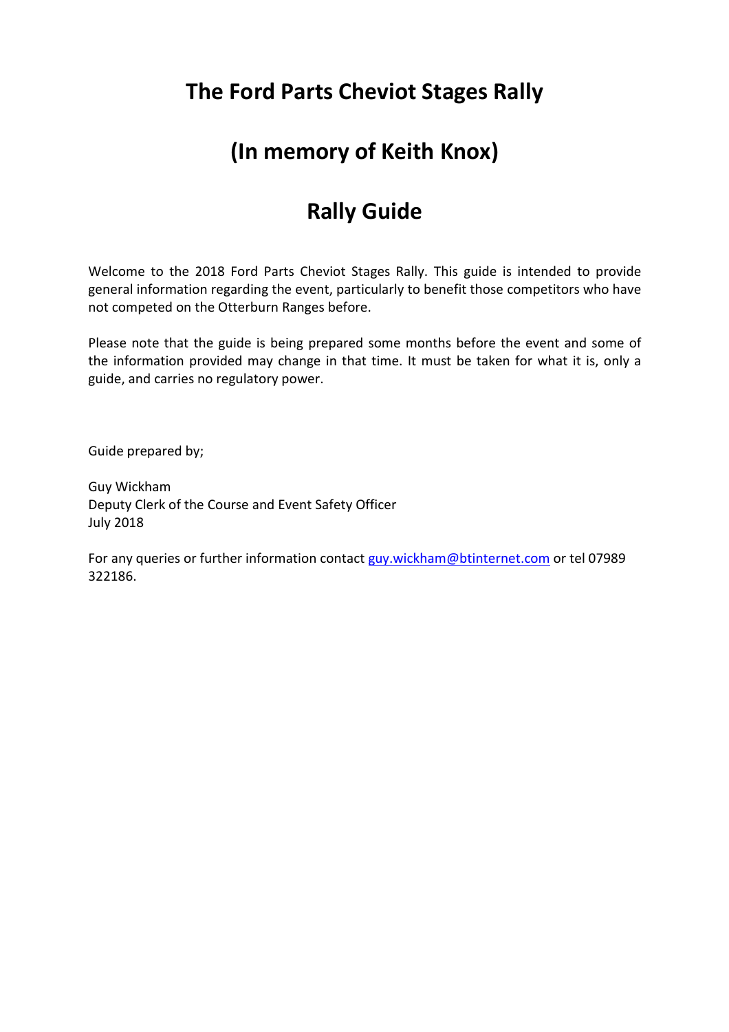## **The Ford Parts Cheviot Stages Rally**

### **(In memory of Keith Knox)**

## **Rally Guide**

Welcome to the 2018 Ford Parts Cheviot Stages Rally. This guide is intended to provide general information regarding the event, particularly to benefit those competitors who have not competed on the Otterburn Ranges before.

Please note that the guide is being prepared some months before the event and some of the information provided may change in that time. It must be taken for what it is, only a guide, and carries no regulatory power.

Guide prepared by;

Guy Wickham Deputy Clerk of the Course and Event Safety Officer July 2018

For any queries or further information contact guy.wickham@btinternet.com or tel 07989 322186.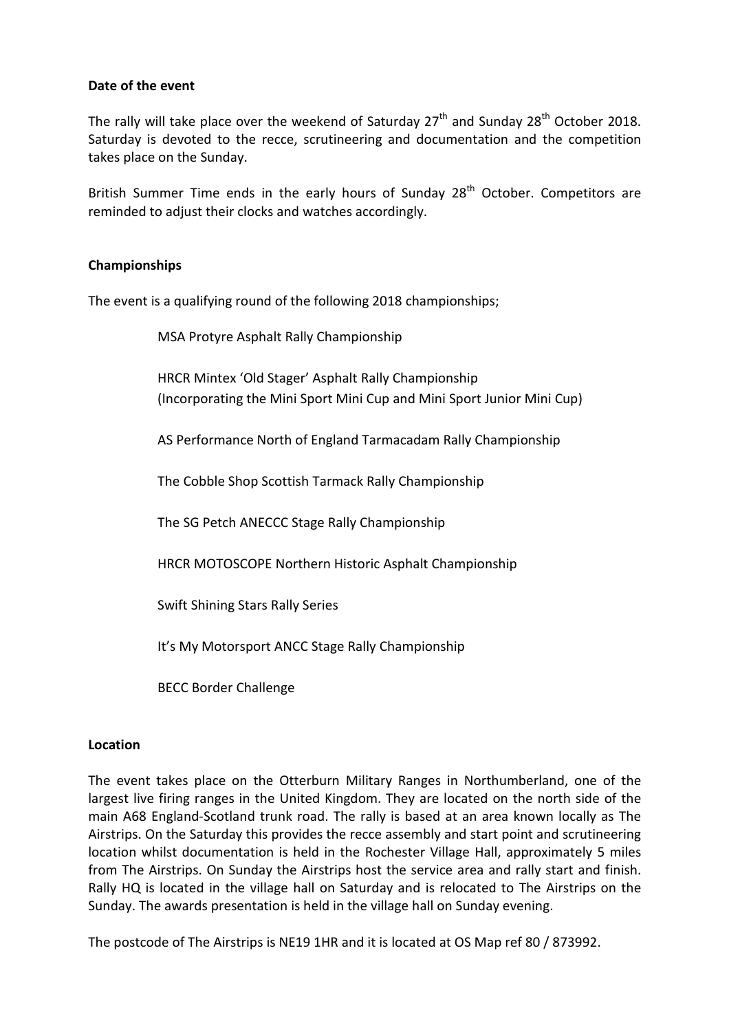#### **Date of the event**

The rally will take place over the weekend of Saturday  $27<sup>th</sup>$  and Sunday  $28<sup>th</sup>$  October 2018. Saturday is devoted to the recce, scrutineering and documentation and the competition takes place on the Sunday.

British Summer Time ends in the early hours of Sunday 28<sup>th</sup> October. Competitors are reminded to adjust their clocks and watches accordingly.

#### **Championships**

The event is a qualifying round of the following 2018 championships;

MSA Protyre Asphalt Rally Championship

HRCR Mintex 'Old Stager' Asphalt Rally Championship (Incorporating the Mini Sport Mini Cup and Mini Sport Junior Mini Cup)

AS Performance North of England Tarmacadam Rally Championship

The Cobble Shop Scottish Tarmack Rally Championship

The SG Petch ANECCC Stage Rally Championship

HRCR MOTOSCOPE Northern Historic Asphalt Championship

Swift Shining Stars Rally Series

It's My Motorsport ANCC Stage Rally Championship

BECC Border Challenge

#### **Location**

The event takes place on the Otterburn Military Ranges in Northumberland, one of the largest live firing ranges in the United Kingdom. They are located on the north side of the main A68 England-Scotland trunk road. The rally is based at an area known locally as The Airstrips. On the Saturday this provides the recce assembly and start point and scrutineering location whilst documentation is held in the Rochester Village Hall, approximately 5 miles from The Airstrips. On Sunday the Airstrips host the service area and rally start and finish. Rally HQ is located in the village hall on Saturday and is relocated to The Airstrips on the Sunday. The awards presentation is held in the village hall on Sunday evening.

The postcode of The Airstrips is NE19 1HR and it is located at OS Map ref 80 / 873992.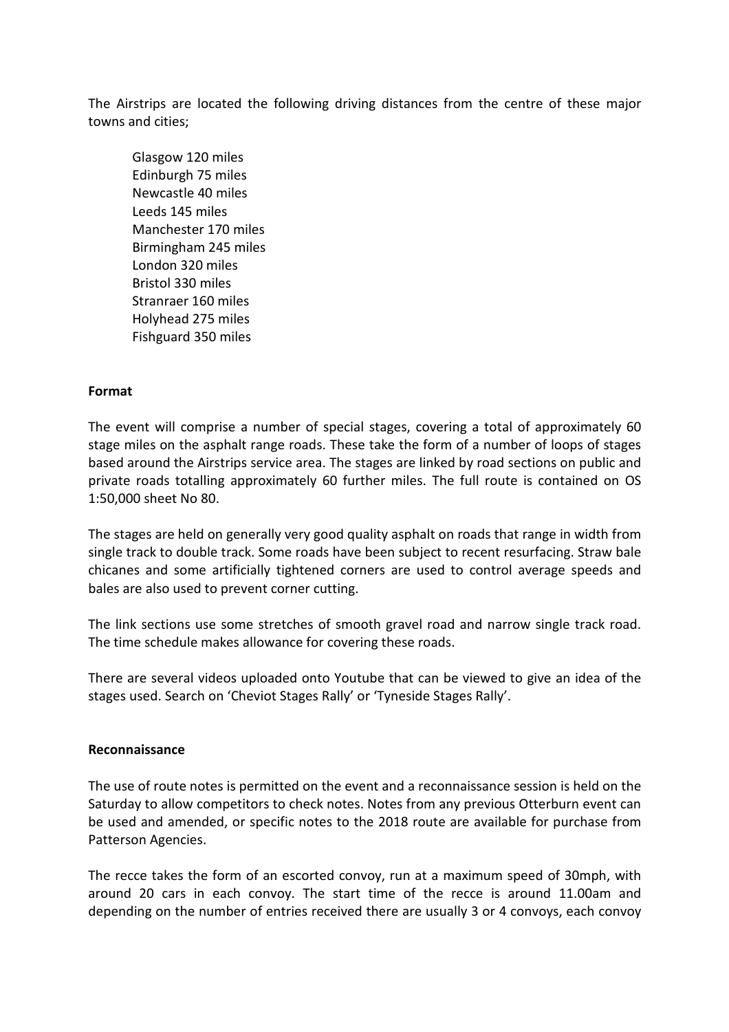The Airstrips are located the following driving distances from the centre of these major towns and cities;

Glasgow 120 miles Edinburgh 75 miles Newcastle 40 miles Leeds 145 miles Manchester 170 miles Birmingham 245 miles London 320 miles Bristol 330 miles Stranraer 160 miles Holyhead 275 miles Fishguard 350 miles

#### **Format**

The event will comprise a number of special stages, covering a total of approximately 60 stage miles on the asphalt range roads. These take the form of a number of loops of stages based around the Airstrips service area. The stages are linked by road sections on public and private roads totalling approximately 60 further miles. The full route is contained on OS 1:50,000 sheet No 80.

The stages are held on generally very good quality asphalt on roads that range in width from single track to double track. Some roads have been subject to recent resurfacing. Straw bale chicanes and some artificially tightened corners are used to control average speeds and bales are also used to prevent corner cutting.

The link sections use some stretches of smooth gravel road and narrow single track road. The time schedule makes allowance for covering these roads.

There are several videos uploaded onto Youtube that can be viewed to give an idea of the stages used. Search on 'Cheviot Stages Rally' or 'Tyneside Stages Rally'.

#### **Reconnaissance**

The use of route notes is permitted on the event and a reconnaissance session is held on the Saturday to allow competitors to check notes. Notes from any previous Otterburn event can be used and amended, or specific notes to the 2018 route are available for purchase from Patterson Agencies.

The recce takes the form of an escorted convoy, run at a maximum speed of 30mph, with around 20 cars in each convoy. The start time of the recce is around 11.00am and depending on the number of entries received there are usually 3 or 4 convoys, each convoy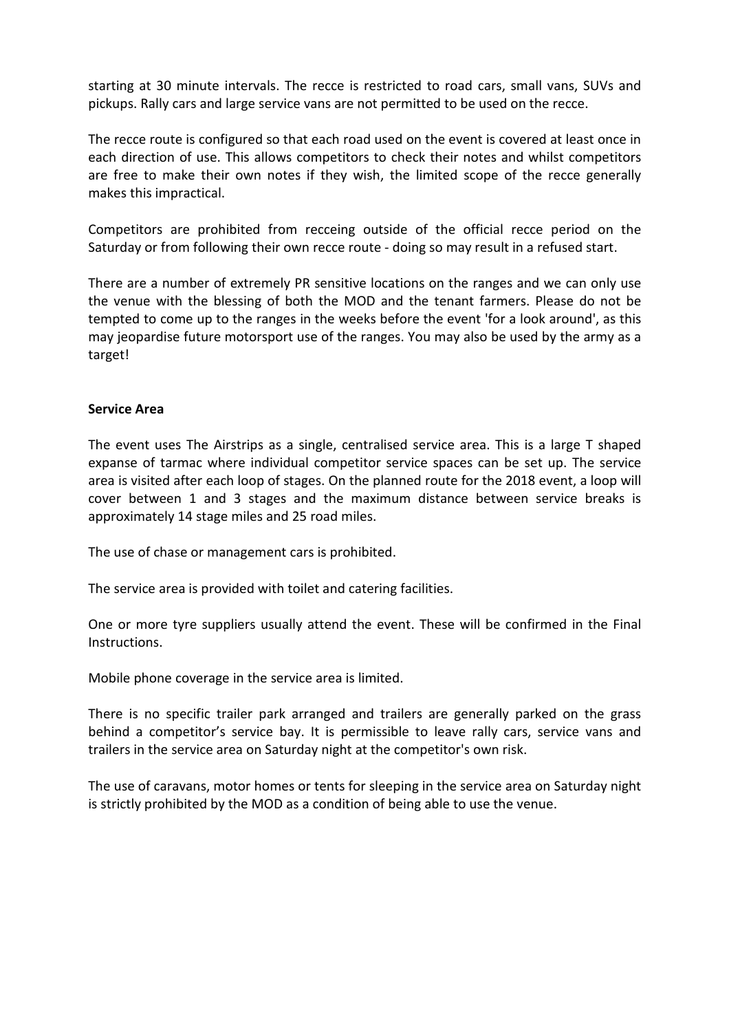starting at 30 minute intervals. The recce is restricted to road cars, small vans, SUVs and pickups. Rally cars and large service vans are not permitted to be used on the recce.

The recce route is configured so that each road used on the event is covered at least once in each direction of use. This allows competitors to check their notes and whilst competitors are free to make their own notes if they wish, the limited scope of the recce generally makes this impractical.

Competitors are prohibited from recceing outside of the official recce period on the Saturday or from following their own recce route - doing so may result in a refused start.

There are a number of extremely PR sensitive locations on the ranges and we can only use the venue with the blessing of both the MOD and the tenant farmers. Please do not be tempted to come up to the ranges in the weeks before the event 'for a look around', as this may jeopardise future motorsport use of the ranges. You may also be used by the army as a target!

#### **Service Area**

The event uses The Airstrips as a single, centralised service area. This is a large T shaped expanse of tarmac where individual competitor service spaces can be set up. The service area is visited after each loop of stages. On the planned route for the 2018 event, a loop will cover between 1 and 3 stages and the maximum distance between service breaks is approximately 14 stage miles and 25 road miles.

The use of chase or management cars is prohibited.

The service area is provided with toilet and catering facilities.

One or more tyre suppliers usually attend the event. These will be confirmed in the Final Instructions.

Mobile phone coverage in the service area is limited.

There is no specific trailer park arranged and trailers are generally parked on the grass behind a competitor's service bay. It is permissible to leave rally cars, service vans and trailers in the service area on Saturday night at the competitor's own risk.

The use of caravans, motor homes or tents for sleeping in the service area on Saturday night is strictly prohibited by the MOD as a condition of being able to use the venue.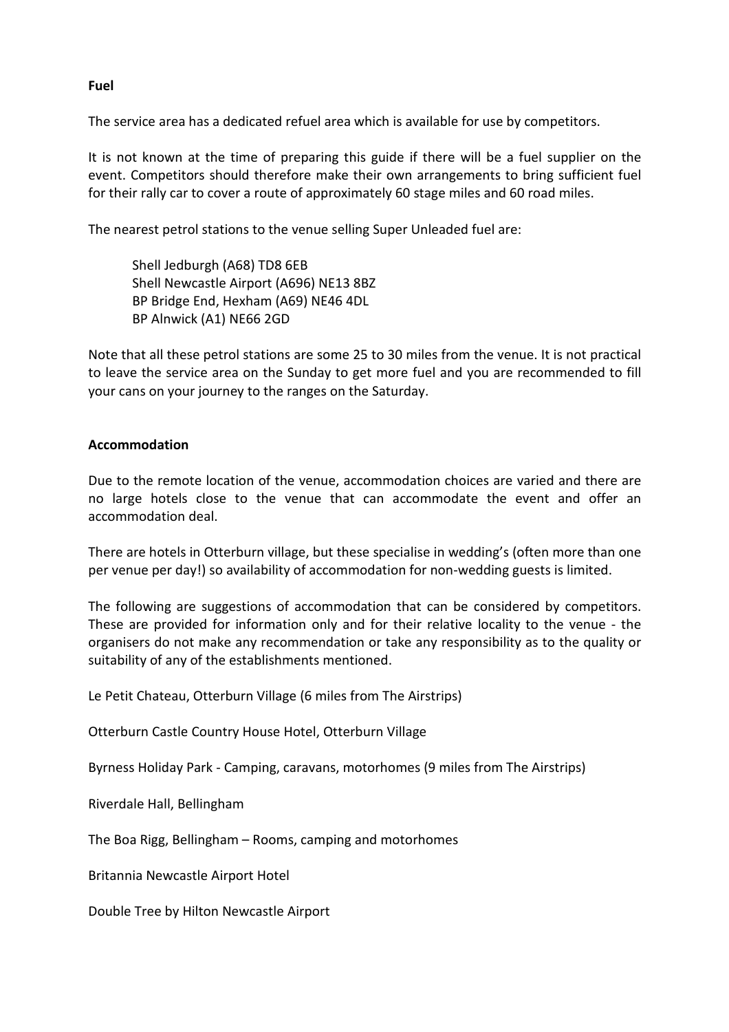**Fuel** 

The service area has a dedicated refuel area which is available for use by competitors.

It is not known at the time of preparing this guide if there will be a fuel supplier on the event. Competitors should therefore make their own arrangements to bring sufficient fuel for their rally car to cover a route of approximately 60 stage miles and 60 road miles.

The nearest petrol stations to the venue selling Super Unleaded fuel are:

Shell Jedburgh (A68) TD8 6EB Shell Newcastle Airport (A696) NE13 8BZ BP Bridge End, Hexham (A69) NE46 4DL BP Alnwick (A1) NE66 2GD

Note that all these petrol stations are some 25 to 30 miles from the venue. It is not practical to leave the service area on the Sunday to get more fuel and you are recommended to fill your cans on your journey to the ranges on the Saturday.

#### **Accommodation**

Due to the remote location of the venue, accommodation choices are varied and there are no large hotels close to the venue that can accommodate the event and offer an accommodation deal.

There are hotels in Otterburn village, but these specialise in wedding's (often more than one per venue per day!) so availability of accommodation for non-wedding guests is limited.

The following are suggestions of accommodation that can be considered by competitors. These are provided for information only and for their relative locality to the venue - the organisers do not make any recommendation or take any responsibility as to the quality or suitability of any of the establishments mentioned.

Le Petit Chateau, Otterburn Village (6 miles from The Airstrips)

Otterburn Castle Country House Hotel, Otterburn Village

Byrness Holiday Park - Camping, caravans, motorhomes (9 miles from The Airstrips)

Riverdale Hall, Bellingham

The Boa Rigg, Bellingham – Rooms, camping and motorhomes

Britannia Newcastle Airport Hotel

Double Tree by Hilton Newcastle Airport